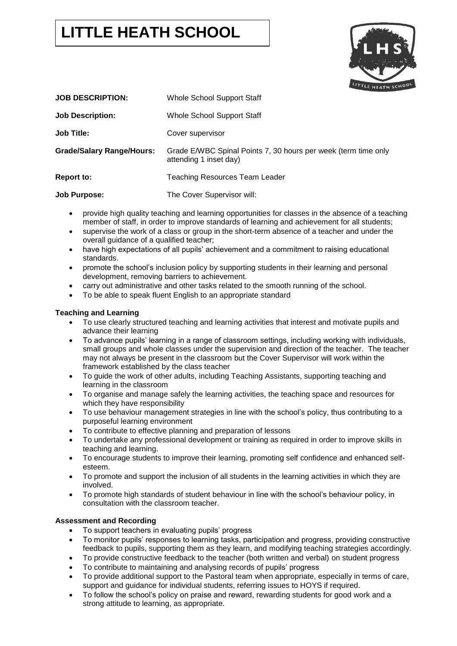# **LITTLE HEATH SCHOOL**



| <b>JOB DESCRIPTION:</b>          | Whole School Support Staff                                                               |
|----------------------------------|------------------------------------------------------------------------------------------|
| <b>Job Description:</b>          | Whole School Support Staff                                                               |
| <b>Job Title:</b>                | Cover supervisor                                                                         |
| <b>Grade/Salary Range/Hours:</b> | Grade E/WBC Spinal Points 7, 30 hours per week (term time only<br>attending 1 inset day) |
| <b>Report to:</b>                | <b>Teaching Resources Team Leader</b>                                                    |
| <b>Job Purpose:</b>              | The Cover Supervisor will:                                                               |

- provide high quality teaching and learning opportunities for classes in the absence of a teaching member of staff, in order to improve standards of learning and achievement for all students;
- supervise the work of a class or group in the short-term absence of a teacher and under the overall guidance of a qualified teacher;
- have high expectations of all pupils' achievement and a commitment to raising educational standards.
- promote the school's inclusion policy by supporting students in their learning and personal development, removing barriers to achievement.
- carry out administrative and other tasks related to the smooth running of the school.
- To be able to speak fluent English to an appropriate standard

# **Teaching and Learning**

- To use clearly structured teaching and learning activities that interest and motivate pupils and advance their learning
- To advance pupils' learning in a range of classroom settings, including working with individuals, small groups and whole classes under the supervision and direction of the teacher. The teacher may not always be present in the classroom but the Cover Supervisor will work within the framework established by the class teacher
- To guide the work of other adults, including Teaching Assistants, supporting teaching and learning in the classroom
- To organise and manage safely the learning activities, the teaching space and resources for which they have responsibility
- To use behaviour management strategies in line with the school's policy, thus contributing to a purposeful learning environment
- To contribute to effective planning and preparation of lessons
- To undertake any professional development or training as required in order to improve skills in teaching and learning.
- To encourage students to improve their learning, promoting self confidence and enhanced selfesteem.
- To promote and support the inclusion of all students in the learning activities in which they are involved.
- To promote high standards of student behaviour in line with the school's behaviour policy, in consultation with the classroom teacher.

# **Assessment and Recording**

- To support teachers in evaluating pupils' progress
- To monitor pupils' responses to learning tasks, participation and progress, providing constructive feedback to pupils, supporting them as they learn, and modifying teaching strategies accordingly.
- To provide constructive feedback to the teacher (both written and verbal) on student progress
- To contribute to maintaining and analysing records of pupils' progress
- To provide additional support to the Pastoral team when appropriate, especially in terms of care, support and guidance for individual students, referring issues to HOYS if required.
- To follow the school's policy on praise and reward, rewarding students for good work and a strong attitude to learning, as appropriate.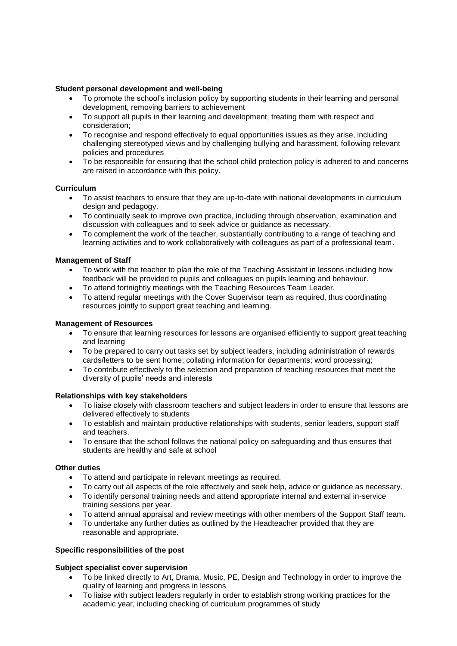## **Student personal development and well-being**

- To promote the school's inclusion policy by supporting students in their learning and personal development, removing barriers to achievement
- To support all pupils in their learning and development, treating them with respect and consideration;
- To recognise and respond effectively to equal opportunities issues as they arise, including challenging stereotyped views and by challenging bullying and harassment, following relevant policies and procedures
- To be responsible for ensuring that the school child protection policy is adhered to and concerns are raised in accordance with this policy.

#### **Curriculum**

- To assist teachers to ensure that they are up-to-date with national developments in curriculum design and pedagogy.
- To continually seek to improve own practice, including through observation, examination and discussion with colleagues and to seek advice or guidance as necessary.
- To complement the work of the teacher, substantially contributing to a range of teaching and learning activities and to work collaboratively with colleagues as part of a professional team.

#### **Management of Staff**

- To work with the teacher to plan the role of the Teaching Assistant in lessons including how feedback will be provided to pupils and colleagues on pupils learning and behaviour.
- To attend fortnightly meetings with the Teaching Resources Team Leader.
- To attend regular meetings with the Cover Supervisor team as required, thus coordinating resources jointly to support great teaching and learning.

#### **Management of Resources**

- To ensure that learning resources for lessons are organised efficiently to support great teaching and learning
- To be prepared to carry out tasks set by subject leaders, including administration of rewards cards/letters to be sent home; collating information for departments; word processing;
- To contribute effectively to the selection and preparation of teaching resources that meet the diversity of pupils' needs and interests

#### **Relationships with key stakeholders**

- To liaise closely with classroom teachers and subject leaders in order to ensure that lessons are delivered effectively to students
- To establish and maintain productive relationships with students, senior leaders, support staff and teachers.
- To ensure that the school follows the national policy on safeguarding and thus ensures that students are healthy and safe at school

## **Other duties**

- To attend and participate in relevant meetings as required.
- To carry out all aspects of the role effectively and seek help, advice or guidance as necessary.
- To identify personal training needs and attend appropriate internal and external in-service training sessions per year.
- To attend annual appraisal and review meetings with other members of the Support Staff team.
- To undertake any further duties as outlined by the Headteacher provided that they are reasonable and appropriate.

## **Specific responsibilities of the post**

#### **Subject specialist cover supervision**

- To be linked directly to Art, Drama, Music, PE, Design and Technology in order to improve the quality of learning and progress in lessons
- To liaise with subject leaders regularly in order to establish strong working practices for the academic year, including checking of curriculum programmes of study